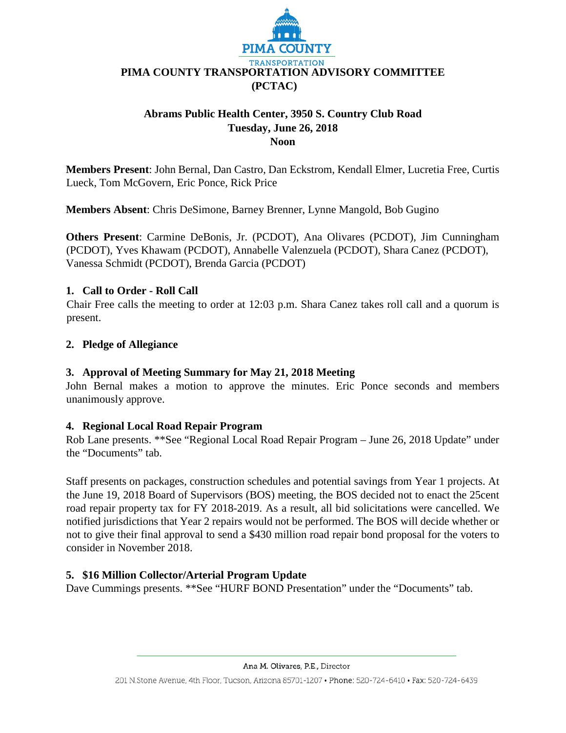

# **Abrams Public Health Center, 3950 S. Country Club Road Tuesday, June 26, 2018 Noon**

**Members Present**: John Bernal, Dan Castro, Dan Eckstrom, Kendall Elmer, Lucretia Free, Curtis Lueck, Tom McGovern, Eric Ponce, Rick Price

**Members Absent**: Chris DeSimone, Barney Brenner, Lynne Mangold, Bob Gugino

**Others Present**: Carmine DeBonis, Jr. (PCDOT), Ana Olivares (PCDOT), Jim Cunningham (PCDOT), Yves Khawam (PCDOT), Annabelle Valenzuela (PCDOT), Shara Canez (PCDOT), Vanessa Schmidt (PCDOT), Brenda Garcia (PCDOT)

# **1. Call to Order - Roll Call**

Chair Free calls the meeting to order at 12:03 p.m. Shara Canez takes roll call and a quorum is present.

### **2. Pledge of Allegiance**

# **3. Approval of Meeting Summary for May 21, 2018 Meeting**

John Bernal makes a motion to approve the minutes. Eric Ponce seconds and members unanimously approve.

#### **4. Regional Local Road Repair Program**

Rob Lane presents. \*\*See "Regional Local Road Repair Program – June 26, 2018 Update" under the "Documents" tab.

Staff presents on packages, construction schedules and potential savings from Year 1 projects. At the June 19, 2018 Board of Supervisors (BOS) meeting, the BOS decided not to enact the 25cent road repair property tax for FY 2018-2019. As a result, all bid solicitations were cancelled. We notified jurisdictions that Year 2 repairs would not be performed. The BOS will decide whether or not to give their final approval to send a \$430 million road repair bond proposal for the voters to consider in November 2018.

# **5. \$16 Million Collector/Arterial Program Update**

Dave Cummings presents. \*\*See "HURF BOND Presentation" under the "Documents" tab.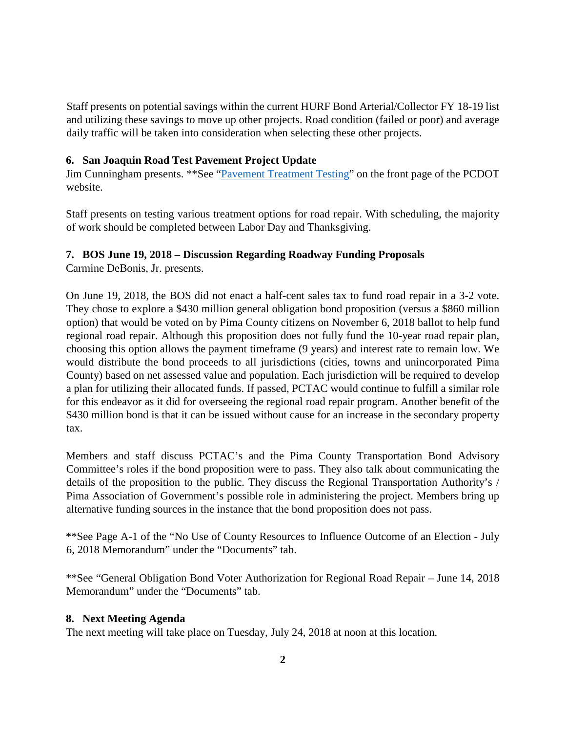Staff presents on potential savings within the current HURF Bond Arterial/Collector FY 18-19 list and utilizing these savings to move up other projects. Road condition (failed or poor) and average daily traffic will be taken into consideration when selecting these other projects.

### **6. San Joaquin Road Test Pavement Project Update**

Jim Cunningham presents. \*\*See ["Pavement Treatment Testing"](https://bit.ly/2M33tv7) on the front page of the PCDOT website.

Staff presents on testing various treatment options for road repair. With scheduling, the majority of work should be completed between Labor Day and Thanksgiving.

# **7. BOS June 19, 2018 – Discussion Regarding Roadway Funding Proposals**

Carmine DeBonis, Jr. presents.

On June 19, 2018, the BOS did not enact a half-cent sales tax to fund road repair in a 3-2 vote. They chose to explore a \$430 million general obligation bond proposition (versus a \$860 million option) that would be voted on by Pima County citizens on November 6, 2018 ballot to help fund regional road repair. Although this proposition does not fully fund the 10-year road repair plan, choosing this option allows the payment timeframe (9 years) and interest rate to remain low. We would distribute the bond proceeds to all jurisdictions (cities, towns and unincorporated Pima County) based on net assessed value and population. Each jurisdiction will be required to develop a plan for utilizing their allocated funds. If passed, PCTAC would continue to fulfill a similar role for this endeavor as it did for overseeing the regional road repair program. Another benefit of the \$430 million bond is that it can be issued without cause for an increase in the secondary property tax.

Members and staff discuss PCTAC's and the Pima County Transportation Bond Advisory Committee's roles if the bond proposition were to pass. They also talk about communicating the details of the proposition to the public. They discuss the Regional Transportation Authority's / Pima Association of Government's possible role in administering the project. Members bring up alternative funding sources in the instance that the bond proposition does not pass.

\*\*See Page A-1 of the "No Use of County Resources to Influence Outcome of an Election - July 6, 2018 Memorandum" under the "Documents" tab.

\*\*See "General Obligation Bond Voter Authorization for Regional Road Repair – June 14, 2018 Memorandum" under the "Documents" tab.

#### **8. Next Meeting Agenda**

The next meeting will take place on Tuesday, July 24, 2018 at noon at this location.